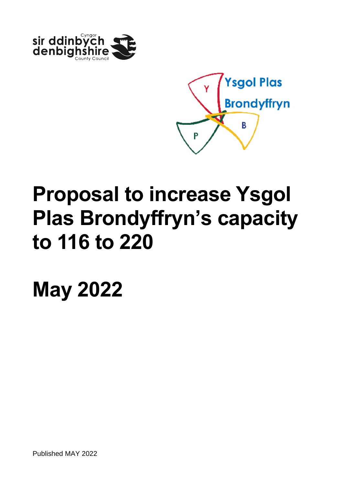



**May 2022**

Published MAY 2022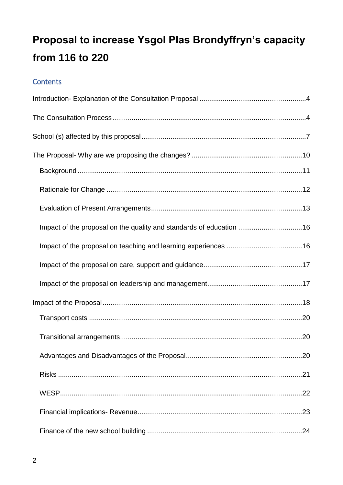### Contents

| Impact of the proposal on the quality and standards of education 16 |  |
|---------------------------------------------------------------------|--|
|                                                                     |  |
|                                                                     |  |
|                                                                     |  |
|                                                                     |  |
|                                                                     |  |
|                                                                     |  |
|                                                                     |  |
|                                                                     |  |
|                                                                     |  |
|                                                                     |  |
|                                                                     |  |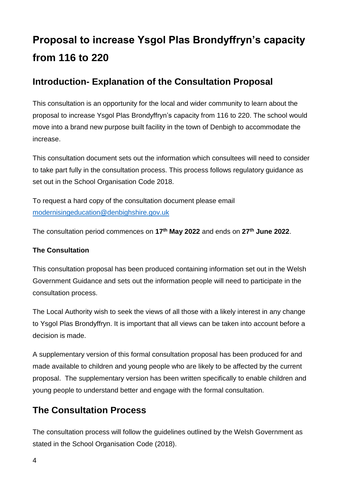### <span id="page-3-0"></span>**Introduction- Explanation of the Consultation Proposal**

This consultation is an opportunity for the local and wider community to learn about the proposal to increase Ysgol Plas Brondyffryn's capacity from 116 to 220. The school would move into a brand new purpose built facility in the town of Denbigh to accommodate the increase.

This consultation document sets out the information which consultees will need to consider to take part fully in the consultation process. This process follows regulatory guidance as set out in the School Organisation Code 2018.

To request a hard copy of the consultation document please email [modernisingeducation@denbighshire.gov.uk](mailto:modernisingeducation@denbighshire.gov.uk)

The consultation period commences on **17th May 2022** and ends on **27th June 2022**.

#### **The Consultation**

This consultation proposal has been produced containing information set out in the Welsh Government Guidance and sets out the information people will need to participate in the consultation process.

The Local Authority wish to seek the views of all those with a likely interest in any change to Ysgol Plas Brondyffryn. It is important that all views can be taken into account before a decision is made.

A supplementary version of this formal consultation proposal has been produced for and made available to children and young people who are likely to be affected by the current proposal. The supplementary version has been written specifically to enable children and young people to understand better and engage with the formal consultation.

### <span id="page-3-1"></span>**The Consultation Process**

The consultation process will follow the guidelines outlined by the Welsh Government as stated in the School Organisation Code (2018).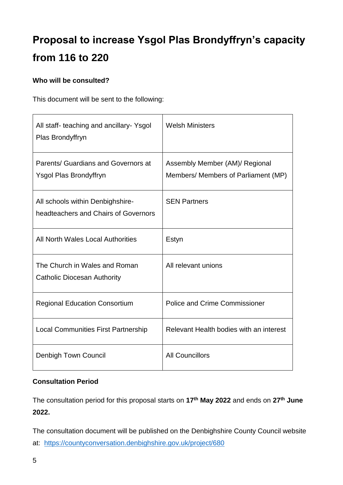#### **Who will be consulted?**

This document will be sent to the following:

| All staff- teaching and ancillary- Ysgol<br>Plas Brondyffryn             | <b>Welsh Ministers</b>                                                |
|--------------------------------------------------------------------------|-----------------------------------------------------------------------|
| Parents/ Guardians and Governors at<br>Ysgol Plas Brondyffryn            | Assembly Member (AM)/ Regional<br>Members/ Members of Parliament (MP) |
| All schools within Denbighshire-<br>headteachers and Chairs of Governors | <b>SEN Partners</b>                                                   |
| All North Wales Local Authorities                                        | Estyn                                                                 |
| The Church in Wales and Roman<br><b>Catholic Diocesan Authority</b>      | All relevant unions                                                   |
| <b>Regional Education Consortium</b>                                     | <b>Police and Crime Commissioner</b>                                  |
| <b>Local Communities First Partnership</b>                               | Relevant Health bodies with an interest                               |
| Denbigh Town Council                                                     | <b>All Councillors</b>                                                |

#### **Consultation Period**

The consultation period for this proposal starts on **17th May 2022** and ends on **27th June 2022.**

The consultation document will be published on the Denbighshire County Council website at: <https://countyconversation.denbighshire.gov.uk/project/680>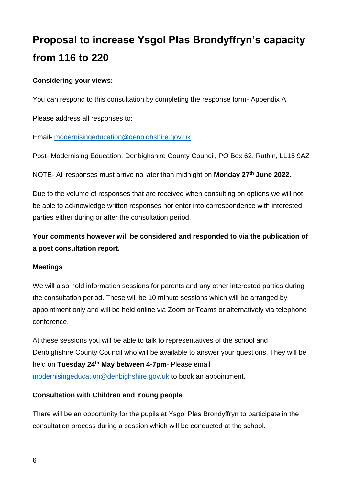#### **Considering your views:**

You can respond to this consultation by completing the response form- Appendix A.

Please address all responses to:

Email- [modernisingeducation@denbighshire.gov.uk](mailto:modernisingeducation@denbighshire.gov.uk)

Post- Modernising Education, Denbighshire County Council, PO Box 62, Ruthin, LL15 9AZ

NOTE- All responses must arrive no later than midnight on **Monday 27th June 2022.**

Due to the volume of responses that are received when consulting on options we will not be able to acknowledge written responses nor enter into correspondence with interested parties either during or after the consultation period.

**Your comments however will be considered and responded to via the publication of a post consultation report.** 

#### **Meetings**

We will also hold information sessions for parents and any other interested parties during the consultation period. These will be 10 minute sessions which will be arranged by appointment only and will be held online via Zoom or Teams or alternatively via telephone conference.

At these sessions you will be able to talk to representatives of the school and Denbighshire County Council who will be available to answer your questions. They will be held on **Tuesday 24th May between 4-7pm**- Please email [modernisingeducation@denbighshire.gov.uk](mailto:modernisingeducation@denbighshire.gov.uk) to book an appointment.

#### **Consultation with Children and Young people**

There will be an opportunity for the pupils at Ysgol Plas Brondyffryn to participate in the consultation process during a session which will be conducted at the school.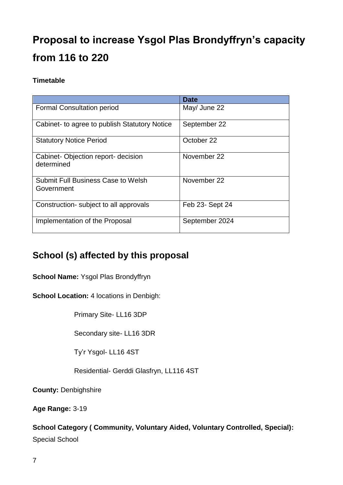#### **Timetable**

|                                                         | <b>Date</b>     |
|---------------------------------------------------------|-----------------|
| <b>Formal Consultation period</b>                       | May/ June 22    |
| Cabinet- to agree to publish Statutory Notice           | September 22    |
| <b>Statutory Notice Period</b>                          | October 22      |
| Cabinet-Objection report- decision<br>determined        | November 22     |
| <b>Submit Full Business Case to Welsh</b><br>Government | November 22     |
| Construction-subject to all approvals                   | Feb 23- Sept 24 |
| Implementation of the Proposal                          | September 2024  |

### <span id="page-6-0"></span>**School (s) affected by this proposal**

**School Name:** Ysgol Plas Brondyffryn

**School Location:** 4 locations in Denbigh:

Primary Site- LL16 3DP

Secondary site- LL16 3DR

Ty'r Ysgol- LL16 4ST

Residential- Gerddi Glasfryn, LL116 4ST

**County:** Denbighshire

**Age Range:** 3-19

### **School Category ( Community, Voluntary Aided, Voluntary Controlled, Special):**

Special School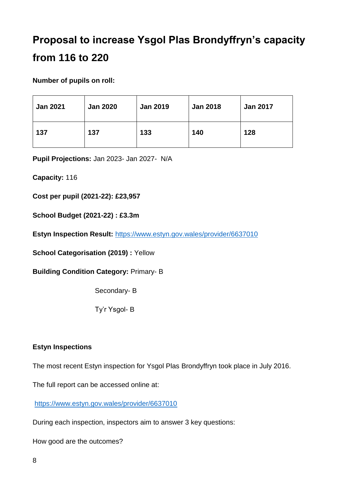**Number of pupils on roll:**

| <b>Jan 2021</b> | <b>Jan 2020</b> | <b>Jan 2019</b> | <b>Jan 2018</b> | <b>Jan 2017</b> |
|-----------------|-----------------|-----------------|-----------------|-----------------|
| 137             | 137             | 133             | 140             | 128             |

**Pupil Projections:** Jan 2023- Jan 2027- N/A

**Capacity:** 116

**Cost per pupil (2021-22): £23,957**

**School Budget (2021-22) : £3.3m**

**Estyn Inspection Result:** <https://www.estyn.gov.wales/provider/6637010>

**School Categorisation (2019) :** Yellow

**Building Condition Category:** Primary- B

Secondary- B

Ty'r Ysgol- B

#### **Estyn Inspections**

The most recent Estyn inspection for Ysgol Plas Brondyffryn took place in July 2016.

The full report can be accessed online at:

<https://www.estyn.gov.wales/provider/6637010>

During each inspection, inspectors aim to answer 3 key questions:

How good are the outcomes?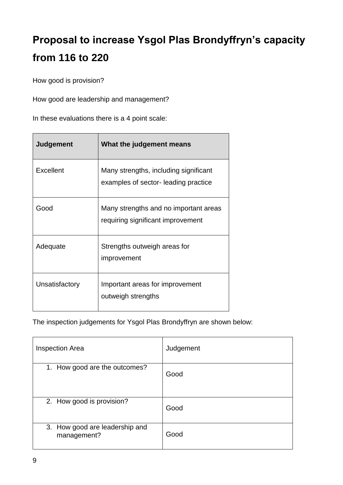How good is provision?

How good are leadership and management?

In these evaluations there is a 4 point scale:

| <b>Judgement</b> | What the judgement means                                                      |
|------------------|-------------------------------------------------------------------------------|
| Excellent        | Many strengths, including significant<br>examples of sector- leading practice |
| Good             | Many strengths and no important areas<br>requiring significant improvement    |
| Adequate         | Strengths outweigh areas for<br>improvement                                   |
| Unsatisfactory   | Important areas for improvement<br>outweigh strengths                         |

The inspection judgements for Ysgol Plas Brondyffryn are shown below:

| <b>Inspection Area</b>                        | Judgement |
|-----------------------------------------------|-----------|
| 1. How good are the outcomes?                 | Good      |
| 2. How good is provision?                     | Good      |
| 3. How good are leadership and<br>management? | Good      |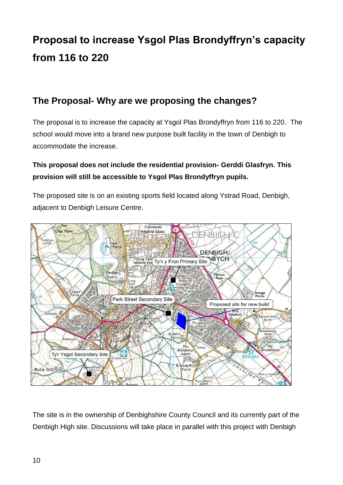### <span id="page-9-0"></span>**The Proposal- Why are we proposing the changes?**

The proposal is to increase the capacity at Ysgol Plas Brondyffryn from 116 to 220. The school would move into a brand new purpose built facility in the town of Denbigh to accommodate the increase.

### **This proposal does not include the residential provision- Gerddi Glasfryn. This provision will still be accessible to Ysgol Plas Brondyffryn pupils.**

The proposed site is on an existing sports field located along Ystrad Road, Denbigh, adjacent to Denbigh Leisure Centre.



The site is in the ownership of Denbighshire County Council and its currently part of the Denbigh High site. Discussions will take place in parallel with this project with Denbigh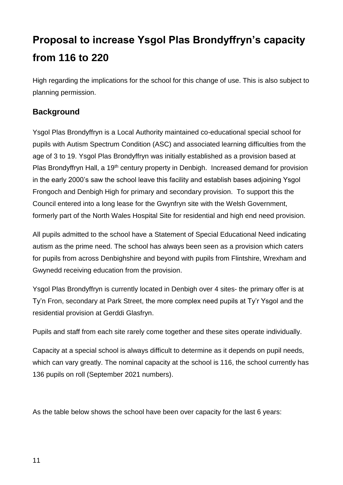High regarding the implications for the school for this change of use. This is also subject to planning permission.

#### <span id="page-10-0"></span>**Background**

Ysgol Plas Brondyffryn is a Local Authority maintained co-educational special school for pupils with Autism Spectrum Condition (ASC) and associated learning difficulties from the age of 3 to 19. Ysgol Plas Brondyffryn was initially established as a provision based at Plas Brondyffryn Hall, a 19<sup>th</sup> century property in Denbigh. Increased demand for provision in the early 2000's saw the school leave this facility and establish bases adjoining Ysgol Frongoch and Denbigh High for primary and secondary provision. To support this the Council entered into a long lease for the Gwynfryn site with the Welsh Government, formerly part of the North Wales Hospital Site for residential and high end need provision.

All pupils admitted to the school have a Statement of Special Educational Need indicating autism as the prime need. The school has always been seen as a provision which caters for pupils from across Denbighshire and beyond with pupils from Flintshire, Wrexham and Gwynedd receiving education from the provision.

Ysgol Plas Brondyffryn is currently located in Denbigh over 4 sites- the primary offer is at Ty'n Fron, secondary at Park Street, the more complex need pupils at Ty'r Ysgol and the residential provision at Gerddi Glasfryn.

Pupils and staff from each site rarely come together and these sites operate individually.

Capacity at a special school is always difficult to determine as it depends on pupil needs, which can vary greatly. The nominal capacity at the school is 116, the school currently has 136 pupils on roll (September 2021 numbers).

As the table below shows the school have been over capacity for the last 6 years: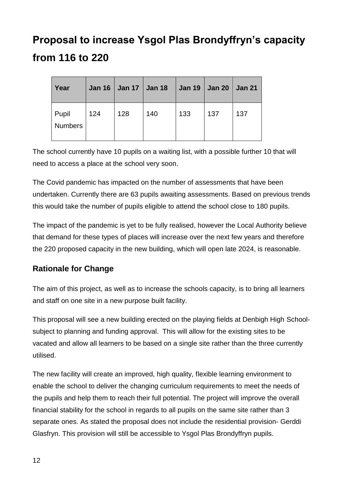| Year                    |     | Jan 16   Jan 17   Jan 18 |     | Jan 19   Jan 20   Jan 21 |     |     |
|-------------------------|-----|--------------------------|-----|--------------------------|-----|-----|
| Pupil<br><b>Numbers</b> | 124 | 128                      | 140 | 133                      | 137 | 137 |

The school currently have 10 pupils on a waiting list, with a possible further 10 that will need to access a place at the school very soon.

The Covid pandemic has impacted on the number of assessments that have been undertaken. Currently there are 63 pupils awaiting assessments. Based on previous trends this would take the number of pupils eligible to attend the school close to 180 pupils.

The impact of the pandemic is yet to be fully realised, however the Local Authority believe that demand for these types of places will increase over the next few years and therefore the 220 proposed capacity in the new building, which will open late 2024, is reasonable.

### <span id="page-11-0"></span>**Rationale for Change**

The aim of this project, as well as to increase the schools capacity, is to bring all learners and staff on one site in a new purpose built facility.

This proposal will see a new building erected on the playing fields at Denbigh High Schoolsubject to planning and funding approval. This will allow for the existing sites to be vacated and allow all learners to be based on a single site rather than the three currently utilised.

The new facility will create an improved, high quality, flexible learning environment to enable the school to deliver the changing curriculum requirements to meet the needs of the pupils and help them to reach their full potential. The project will improve the overall financial stability for the school in regards to all pupils on the same site rather than 3 separate ones. As stated the proposal does not include the residential provision- Gerddi Glasfryn. This provision will still be accessible to Ysgol Plas Brondyffryn pupils.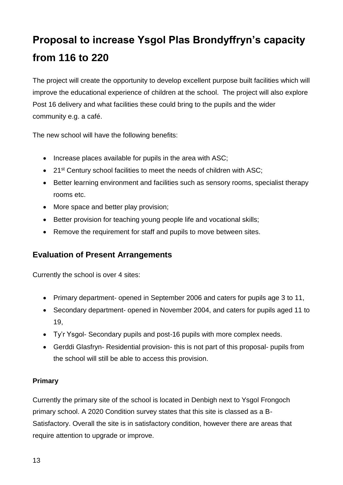The project will create the opportunity to develop excellent purpose built facilities which will improve the educational experience of children at the school. The project will also explore Post 16 delivery and what facilities these could bring to the pupils and the wider community e.g. a café.

The new school will have the following benefits:

- $\bullet$  Increase places available for pupils in the area with ASC;
- 21<sup>st</sup> Century school facilities to meet the needs of children with ASC;
- Better learning environment and facilities such as sensory rooms, specialist therapy rooms etc.
- More space and better play provision;
- Better provision for teaching young people life and vocational skills;
- Remove the requirement for staff and pupils to move between sites.

#### <span id="page-12-0"></span>**Evaluation of Present Arrangements**

Currently the school is over 4 sites:

- Primary department- opened in September 2006 and caters for pupils age 3 to 11,
- Secondary department- opened in November 2004, and caters for pupils aged 11 to 19,
- Ty'r Ysgol- Secondary pupils and post-16 pupils with more complex needs.
- Gerddi Glasfryn- Residential provision- this is not part of this proposal- pupils from the school will still be able to access this provision.

#### **Primary**

Currently the primary site of the school is located in Denbigh next to Ysgol Frongoch primary school. A 2020 Condition survey states that this site is classed as a B-Satisfactory. Overall the site is in satisfactory condition, however there are areas that require attention to upgrade or improve.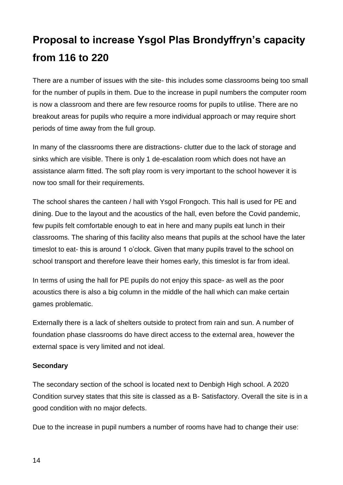There are a number of issues with the site- this includes some classrooms being too small for the number of pupils in them. Due to the increase in pupil numbers the computer room is now a classroom and there are few resource rooms for pupils to utilise. There are no breakout areas for pupils who require a more individual approach or may require short periods of time away from the full group.

In many of the classrooms there are distractions- clutter due to the lack of storage and sinks which are visible. There is only 1 de-escalation room which does not have an assistance alarm fitted. The soft play room is very important to the school however it is now too small for their requirements.

The school shares the canteen / hall with Ysgol Frongoch. This hall is used for PE and dining. Due to the layout and the acoustics of the hall, even before the Covid pandemic, few pupils felt comfortable enough to eat in here and many pupils eat lunch in their classrooms. The sharing of this facility also means that pupils at the school have the later timeslot to eat- this is around 1 o'clock. Given that many pupils travel to the school on school transport and therefore leave their homes early, this timeslot is far from ideal.

In terms of using the hall for PE pupils do not enjoy this space- as well as the poor acoustics there is also a big column in the middle of the hall which can make certain games problematic.

Externally there is a lack of shelters outside to protect from rain and sun. A number of foundation phase classrooms do have direct access to the external area, however the external space is very limited and not ideal.

#### **Secondary**

The secondary section of the school is located next to Denbigh High school. A 2020 Condition survey states that this site is classed as a B- Satisfactory. Overall the site is in a good condition with no major defects.

Due to the increase in pupil numbers a number of rooms have had to change their use: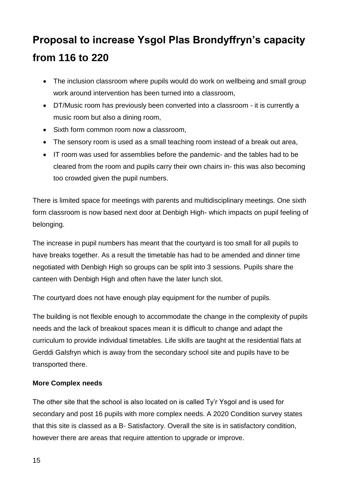- The inclusion classroom where pupils would do work on wellbeing and small group work around intervention has been turned into a classroom,
- DT/Music room has previously been converted into a classroom it is currently a music room but also a dining room,
- Sixth form common room now a classroom,
- The sensory room is used as a small teaching room instead of a break out area,
- IT room was used for assemblies before the pandemic- and the tables had to be cleared from the room and pupils carry their own chairs in- this was also becoming too crowded given the pupil numbers.

There is limited space for meetings with parents and multidisciplinary meetings. One sixth form classroom is now based next door at Denbigh High- which impacts on pupil feeling of belonging.

The increase in pupil numbers has meant that the courtyard is too small for all pupils to have breaks together. As a result the timetable has had to be amended and dinner time negotiated with Denbigh High so groups can be split into 3 sessions. Pupils share the canteen with Denbigh High and often have the later lunch slot.

The courtyard does not have enough play equipment for the number of pupils.

The building is not flexible enough to accommodate the change in the complexity of pupils needs and the lack of breakout spaces mean it is difficult to change and adapt the curriculum to provide individual timetables. Life skills are taught at the residential flats at Gerddi Galsfryn which is away from the secondary school site and pupils have to be transported there.

#### **More Complex needs**

The other site that the school is also located on is called Ty'r Ysgol and is used for secondary and post 16 pupils with more complex needs. A 2020 Condition survey states that this site is classed as a B- Satisfactory. Overall the site is in satisfactory condition, however there are areas that require attention to upgrade or improve.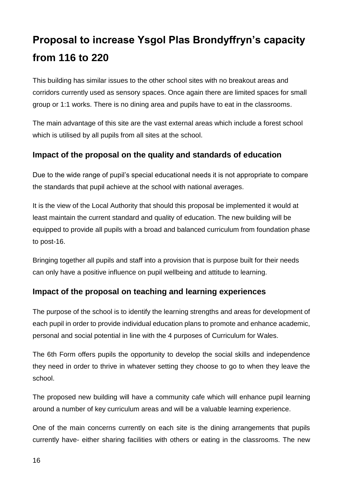This building has similar issues to the other school sites with no breakout areas and corridors currently used as sensory spaces. Once again there are limited spaces for small group or 1:1 works. There is no dining area and pupils have to eat in the classrooms.

The main advantage of this site are the vast external areas which include a forest school which is utilised by all pupils from all sites at the school.

### <span id="page-15-0"></span>**Impact of the proposal on the quality and standards of education**

Due to the wide range of pupil's special educational needs it is not appropriate to compare the standards that pupil achieve at the school with national averages.

It is the view of the Local Authority that should this proposal be implemented it would at least maintain the current standard and quality of education. The new building will be equipped to provide all pupils with a broad and balanced curriculum from foundation phase to post-16.

Bringing together all pupils and staff into a provision that is purpose built for their needs can only have a positive influence on pupil wellbeing and attitude to learning.

#### <span id="page-15-1"></span>**Impact of the proposal on teaching and learning experiences**

The purpose of the school is to identify the learning strengths and areas for development of each pupil in order to provide individual education plans to promote and enhance academic, personal and social potential in line with the 4 purposes of Curriculum for Wales.

The 6th Form offers pupils the opportunity to develop the social skills and independence they need in order to thrive in whatever setting they choose to go to when they leave the school.

The proposed new building will have a community cafe which will enhance pupil learning around a number of key curriculum areas and will be a valuable learning experience.

One of the main concerns currently on each site is the dining arrangements that pupils currently have- either sharing facilities with others or eating in the classrooms. The new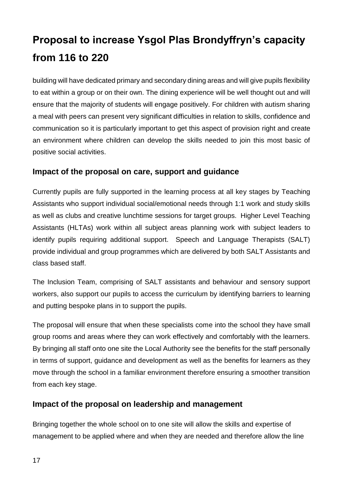building will have dedicated primary and secondary dining areas and will give pupils flexibility to eat within a group or on their own. The dining experience will be well thought out and will ensure that the majority of students will engage positively. For children with autism sharing a meal with peers can present very significant difficulties in relation to skills, confidence and communication so it is particularly important to get this aspect of provision right and create an environment where children can develop the skills needed to join this most basic of positive social activities.

#### <span id="page-16-0"></span>**Impact of the proposal on care, support and guidance**

Currently pupils are fully supported in the learning process at all key stages by Teaching Assistants who support individual social/emotional needs through 1:1 work and study skills as well as clubs and creative lunchtime sessions for target groups. Higher Level Teaching Assistants (HLTAs) work within all subject areas planning work with subject leaders to identify pupils requiring additional support. Speech and Language Therapists (SALT) provide individual and group programmes which are delivered by both SALT Assistants and class based staff.

The Inclusion Team, comprising of SALT assistants and behaviour and sensory support workers, also support our pupils to access the curriculum by identifying barriers to learning and putting bespoke plans in to support the pupils.

The proposal will ensure that when these specialists come into the school they have small group rooms and areas where they can work effectively and comfortably with the learners. By bringing all staff onto one site the Local Authority see the benefits for the staff personally in terms of support, guidance and development as well as the benefits for learners as they move through the school in a familiar environment therefore ensuring a smoother transition from each key stage.

#### <span id="page-16-1"></span>**Impact of the proposal on leadership and management**

Bringing together the whole school on to one site will allow the skills and expertise of management to be applied where and when they are needed and therefore allow the line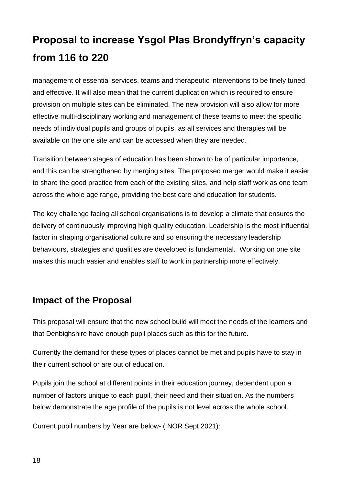management of essential services, teams and therapeutic interventions to be finely tuned and effective. It will also mean that the current duplication which is required to ensure provision on multiple sites can be eliminated. The new provision will also allow for more effective multi-disciplinary working and management of these teams to meet the specific needs of individual pupils and groups of pupils, as all services and therapies will be available on the one site and can be accessed when they are needed.

Transition between stages of education has been shown to be of particular importance, and this can be strengthened by merging sites. The proposed merger would make it easier to share the good practice from each of the existing sites, and help staff work as one team across the whole age range, providing the best care and education for students.

The key challenge facing all school organisations is to develop a climate that ensures the delivery of continuously improving high quality education. Leadership is the most influential factor in shaping organisational culture and so ensuring the necessary leadership behaviours, strategies and qualities are developed is fundamental. Working on one site makes this much easier and enables staff to work in partnership more effectively.

### <span id="page-17-0"></span>**Impact of the Proposal**

This proposal will ensure that the new school build will meet the needs of the learners and that Denbighshire have enough pupil places such as this for the future.

Currently the demand for these types of places cannot be met and pupils have to stay in their current school or are out of education.

Pupils join the school at different points in their education journey, dependent upon a number of factors unique to each pupil, their need and their situation. As the numbers below demonstrate the age profile of the pupils is not level across the whole school.

Current pupil numbers by Year are below- ( NOR Sept 2021):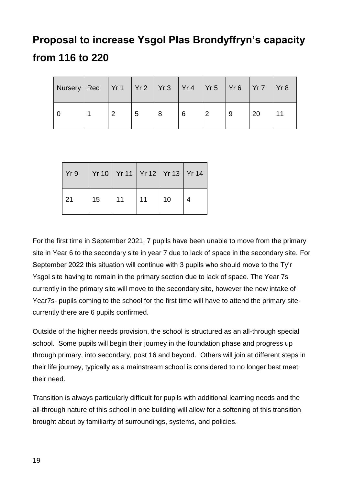| Nursery   Rec   Yr 1   Yr 2   Yr 3   Yr 4   Yr 5   Yr 6   Yr 7   Yr 8 |   |   |   |  |    |    |
|-----------------------------------------------------------------------|---|---|---|--|----|----|
|                                                                       | റ | 5 | 6 |  | 20 | 11 |

| Yr9 | Yr 10   Yr 11   Yr 12   Yr 13   Yr 14 |    |    |    |  |
|-----|---------------------------------------|----|----|----|--|
| 21  | 15                                    | 11 | 11 | 10 |  |

For the first time in September 2021, 7 pupils have been unable to move from the primary site in Year 6 to the secondary site in year 7 due to lack of space in the secondary site. For September 2022 this situation will continue with 3 pupils who should move to the Ty'r Ysgol site having to remain in the primary section due to lack of space. The Year 7s currently in the primary site will move to the secondary site, however the new intake of Year7s- pupils coming to the school for the first time will have to attend the primary sitecurrently there are 6 pupils confirmed.

Outside of the higher needs provision, the school is structured as an all-through special school. Some pupils will begin their journey in the foundation phase and progress up through primary, into secondary, post 16 and beyond. Others will join at different steps in their life journey, typically as a mainstream school is considered to no longer best meet their need.

Transition is always particularly difficult for pupils with additional learning needs and the all-through nature of this school in one building will allow for a softening of this transition brought about by familiarity of surroundings, systems, and policies.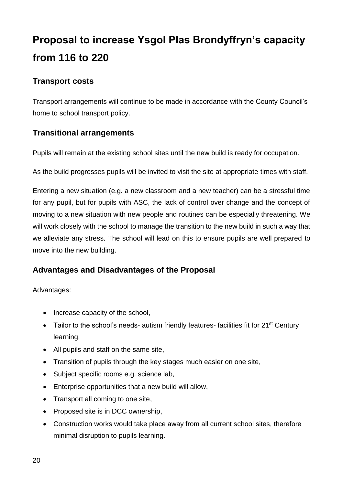### <span id="page-19-0"></span>**Transport costs**

Transport arrangements will continue to be made in accordance with the County Council's home to school transport policy.

### <span id="page-19-1"></span>**Transitional arrangements**

Pupils will remain at the existing school sites until the new build is ready for occupation.

As the build progresses pupils will be invited to visit the site at appropriate times with staff.

Entering a new situation (e.g. a new classroom and a new teacher) can be a stressful time for any pupil, but for pupils with ASC, the lack of control over change and the concept of moving to a new situation with new people and routines can be especially threatening. We will work closely with the school to manage the transition to the new build in such a way that we alleviate any stress. The school will lead on this to ensure pupils are well prepared to move into the new building.

### <span id="page-19-2"></span>**Advantages and Disadvantages of the Proposal**

Advantages:

- Increase capacity of the school,
- Tailor to the school's needs- autism friendly features- facilities fit for 21<sup>st</sup> Century learning,
- All pupils and staff on the same site,
- Transition of pupils through the key stages much easier on one site,
- Subject specific rooms e.g. science lab,
- Enterprise opportunities that a new build will allow,
- Transport all coming to one site,
- Proposed site is in DCC ownership,
- Construction works would take place away from all current school sites, therefore minimal disruption to pupils learning.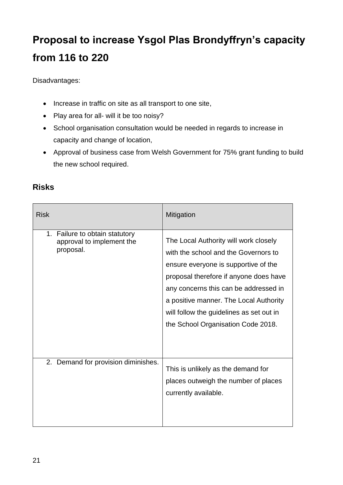Disadvantages:

- Increase in traffic on site as all transport to one site,
- Play area for all- will it be too noisy?
- School organisation consultation would be needed in regards to increase in capacity and change of location,
- Approval of business case from Welsh Government for 75% grant funding to build the new school required.

| <b>Risk</b>                                                              | Mitigation                                                                                                                                                                                                                                                                                                                           |
|--------------------------------------------------------------------------|--------------------------------------------------------------------------------------------------------------------------------------------------------------------------------------------------------------------------------------------------------------------------------------------------------------------------------------|
| 1. Failure to obtain statutory<br>approval to implement the<br>proposal. | The Local Authority will work closely<br>with the school and the Governors to<br>ensure everyone is supportive of the<br>proposal therefore if anyone does have<br>any concerns this can be addressed in<br>a positive manner. The Local Authority<br>will follow the guidelines as set out in<br>the School Organisation Code 2018. |
| 2. Demand for provision diminishes.                                      | This is unlikely as the demand for<br>places outweigh the number of places<br>currently available.                                                                                                                                                                                                                                   |

### <span id="page-20-0"></span>**Risks**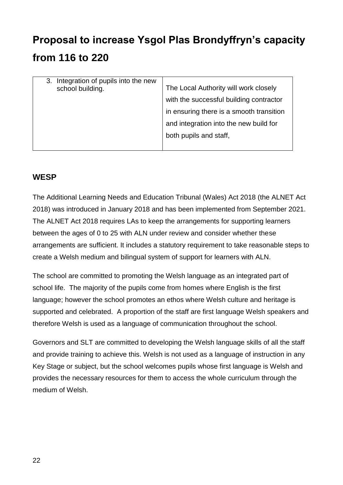| Integration of pupils into the new<br>3.<br>school building. | The Local Authority will work closely<br>with the successful building contractor<br>in ensuring there is a smooth transition<br>and integration into the new build for<br>both pupils and staff, |
|--------------------------------------------------------------|--------------------------------------------------------------------------------------------------------------------------------------------------------------------------------------------------|
|                                                              |                                                                                                                                                                                                  |

#### <span id="page-21-0"></span>**WESP**

The Additional Learning Needs and Education Tribunal (Wales) Act 2018 (the ALNET Act 2018) was introduced in January 2018 and has been implemented from September 2021. The ALNET Act 2018 requires LAs to keep the arrangements for supporting learners between the ages of 0 to 25 with ALN under review and consider whether these arrangements are sufficient. It includes a statutory requirement to take reasonable steps to create a Welsh medium and bilingual system of support for learners with ALN.

The school are committed to promoting the Welsh language as an integrated part of school life. The majority of the pupils come from homes where English is the first language; however the school promotes an ethos where Welsh culture and heritage is supported and celebrated. A proportion of the staff are first language Welsh speakers and therefore Welsh is used as a language of communication throughout the school.

Governors and SLT are committed to developing the Welsh language skills of all the staff and provide training to achieve this. Welsh is not used as a language of instruction in any Key Stage or subject, but the school welcomes pupils whose first language is Welsh and provides the necessary resources for them to access the whole curriculum through the medium of Welsh.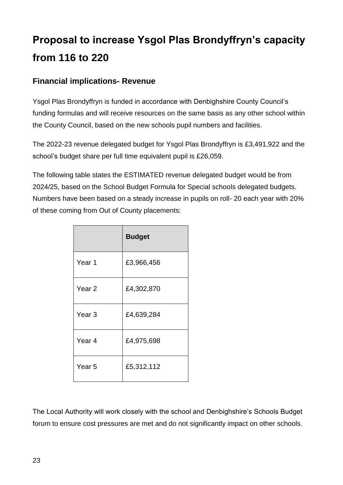### <span id="page-22-0"></span>**Financial implications- Revenue**

Ysgol Plas Brondyffryn is funded in accordance with Denbighshire County Council's funding formulas and will receive resources on the same basis as any other school within the County Council, based on the new schools pupil numbers and facilities.

The 2022-23 revenue delegated budget for Ysgol Plas Brondyffryn is £3,491,922 and the school's budget share per full time equivalent pupil is £26,059.

The following table states the ESTIMATED revenue delegated budget would be from 2024/25, based on the School Budget Formula for Special schools delegated budgets. Numbers have been based on a steady increase in pupils on roll- 20 each year with 20% of these coming from Out of County placements:

|                   | <b>Budget</b> |
|-------------------|---------------|
| Year <sub>1</sub> | £3,966,456    |
| Year <sub>2</sub> | £4,302,870    |
| Year <sub>3</sub> | £4,639,284    |
| Year 4            | £4,975,698    |
| Year 5            | £5,312,112    |

The Local Authority will work closely with the school and Denbighshire's Schools Budget forum to ensure cost pressures are met and do not significantly impact on other schools.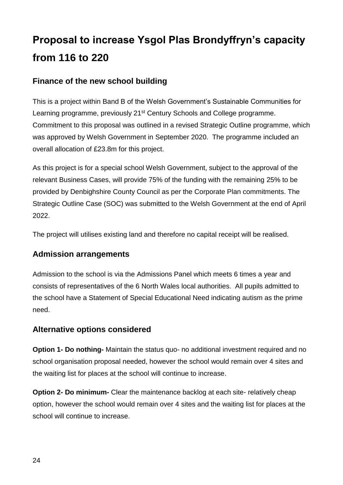### <span id="page-23-0"></span>**Finance of the new school building**

This is a project within Band B of the Welsh Government's Sustainable Communities for Learning programme, previously 21<sup>st</sup> Century Schools and College programme. Commitment to this proposal was outlined in a revised Strategic Outline programme, which was approved by Welsh Government in September 2020. The programme included an overall allocation of £23.8m for this project.

As this project is for a special school Welsh Government, subject to the approval of the relevant Business Cases, will provide 75% of the funding with the remaining 25% to be provided by Denbighshire County Council as per the Corporate Plan commitments. The Strategic Outline Case (SOC) was submitted to the Welsh Government at the end of April 2022.

The project will utilises existing land and therefore no capital receipt will be realised.

#### <span id="page-23-1"></span>**Admission arrangements**

Admission to the school is via the Admissions Panel which meets 6 times a year and consists of representatives of the 6 North Wales local authorities. All pupils admitted to the school have a Statement of Special Educational Need indicating autism as the prime need.

#### <span id="page-23-2"></span>**Alternative options considered**

**Option 1- Do nothing-** Maintain the status quo- no additional investment required and no school organisation proposal needed, however the school would remain over 4 sites and the waiting list for places at the school will continue to increase.

**Option 2- Do minimum-** Clear the maintenance backlog at each site- relatively cheap option, however the school would remain over 4 sites and the waiting list for places at the school will continue to increase.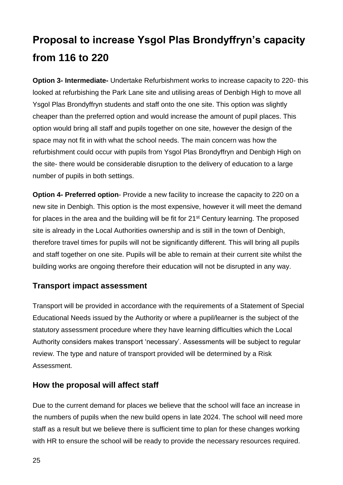**Option 3- Intermediate-** Undertake Refurbishment works to increase capacity to 220- this looked at refurbishing the Park Lane site and utilising areas of Denbigh High to move all Ysgol Plas Brondyffryn students and staff onto the one site. This option was slightly cheaper than the preferred option and would increase the amount of pupil places. This option would bring all staff and pupils together on one site, however the design of the space may not fit in with what the school needs. The main concern was how the refurbishment could occur with pupils from Ysgol Plas Brondyffryn and Denbigh High on the site- there would be considerable disruption to the delivery of education to a large number of pupils in both settings.

**Option 4- Preferred option**- Provide a new facility to increase the capacity to 220 on a new site in Denbigh. This option is the most expensive, however it will meet the demand for places in the area and the building will be fit for 21<sup>st</sup> Century learning. The proposed site is already in the Local Authorities ownership and is still in the town of Denbigh, therefore travel times for pupils will not be significantly different. This will bring all pupils and staff together on one site. Pupils will be able to remain at their current site whilst the building works are ongoing therefore their education will not be disrupted in any way.

#### <span id="page-24-0"></span>**Transport impact assessment**

Transport will be provided in accordance with the requirements of a Statement of Special Educational Needs issued by the Authority or where a pupil/learner is the subject of the statutory assessment procedure where they have learning difficulties which the Local Authority considers makes transport 'necessary'. Assessments will be subject to regular review. The type and nature of transport provided will be determined by a Risk Assessment.

#### <span id="page-24-1"></span>**How the proposal will affect staff**

Due to the current demand for places we believe that the school will face an increase in the numbers of pupils when the new build opens in late 2024. The school will need more staff as a result but we believe there is sufficient time to plan for these changes working with HR to ensure the school will be ready to provide the necessary resources required.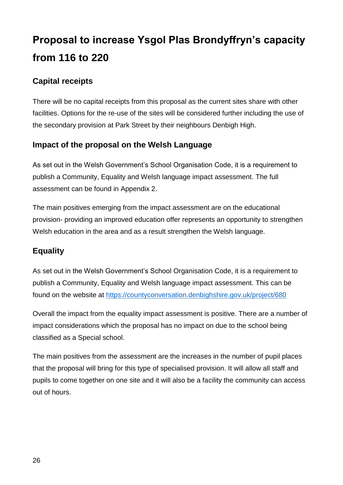### <span id="page-25-0"></span>**Capital receipts**

There will be no capital receipts from this proposal as the current sites share with other facilities. Options for the re-use of the sites will be considered further including the use of the secondary provision at Park Street by their neighbours Denbigh High.

### <span id="page-25-1"></span>**Impact of the proposal on the Welsh Language**

As set out in the Welsh Government's School Organisation Code, it is a requirement to publish a Community, Equality and Welsh language impact assessment. The full assessment can be found in Appendix 2.

The main positives emerging from the impact assessment are on the educational provision- providing an improved education offer represents an opportunity to strengthen Welsh education in the area and as a result strengthen the Welsh language.

### <span id="page-25-2"></span>**Equality**

As set out in the Welsh Government's School Organisation Code, it is a requirement to publish a Community, Equality and Welsh language impact assessment. This can be found on the website at <https://countyconversation.denbighshire.gov.uk/project/680>

Overall the impact from the equality impact assessment is positive. There are a number of impact considerations which the proposal has no impact on due to the school being classified as a Special school.

The main positives from the assessment are the increases in the number of pupil places that the proposal will bring for this type of specialised provision. It will allow all staff and pupils to come together on one site and it will also be a facility the community can access out of hours.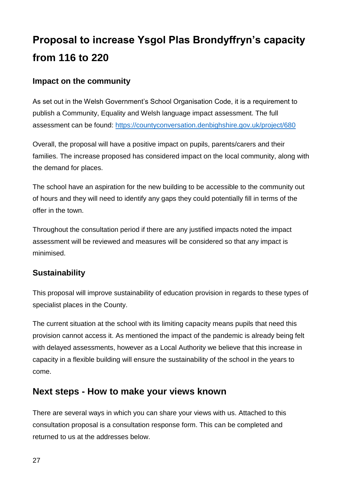### <span id="page-26-0"></span>**Impact on the community**

As set out in the Welsh Government's School Organisation Code, it is a requirement to publish a Community, Equality and Welsh language impact assessment. The full assessment can be found:<https://countyconversation.denbighshire.gov.uk/project/680>

Overall, the proposal will have a positive impact on pupils, parents/carers and their families. The increase proposed has considered impact on the local community, along with the demand for places.

The school have an aspiration for the new building to be accessible to the community out of hours and they will need to identify any gaps they could potentially fill in terms of the offer in the town.

Throughout the consultation period if there are any justified impacts noted the impact assessment will be reviewed and measures will be considered so that any impact is minimised.

#### <span id="page-26-1"></span>**Sustainability**

This proposal will improve sustainability of education provision in regards to these types of specialist places in the County.

The current situation at the school with its limiting capacity means pupils that need this provision cannot access it. As mentioned the impact of the pandemic is already being felt with delayed assessments, however as a Local Authority we believe that this increase in capacity in a flexible building will ensure the sustainability of the school in the years to come.

### <span id="page-26-2"></span>**Next steps - How to make your views known**

There are several ways in which you can share your views with us. Attached to this consultation proposal is a consultation response form. This can be completed and returned to us at the addresses below.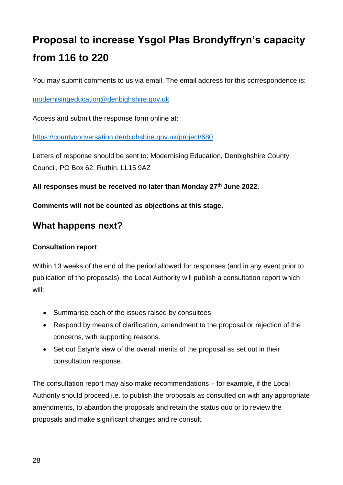You may submit comments to us via email. The email address for this correspondence is:

[modernisingeducation@denbighshire.gov.uk](mailto:modernisingeducation@denbighshire.gov.uk)

Access and submit the response form online at:

<https://countyconversation.denbighshire.gov.uk/project/680>

Letters of response should be sent to: Modernising Education, Denbighshire County Council, PO Box 62, Ruthin, LL15 9AZ

**All responses must be received no later than Monday 27th June 2022.**

**Comments will not be counted as objections at this stage.**

### <span id="page-27-0"></span>**What happens next?**

#### **Consultation report**

Within 13 weeks of the end of the period allowed for responses (and in any event prior to publication of the proposals), the Local Authority will publish a consultation report which will:

- Summarise each of the issues raised by consultees;
- Respond by means of clarification, amendment to the proposal or rejection of the concerns, with supporting reasons.
- Set out Estyn's view of the overall merits of the proposal as set out in their consultation response.

The consultation report may also make recommendations – for example, if the Local Authority should proceed i.e. to publish the proposals as consulted on with any appropriate amendments, to abandon the proposals and retain the status quo or to review the proposals and make significant changes and re consult.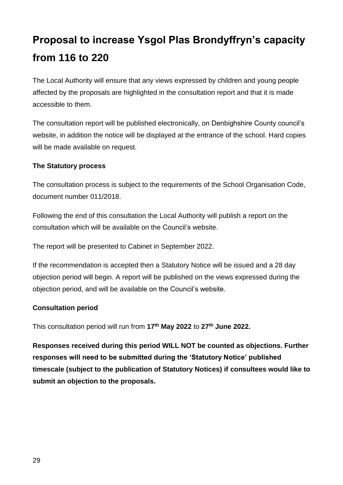The Local Authority will ensure that any views expressed by children and young people affected by the proposals are highlighted in the consultation report and that it is made accessible to them.

The consultation report will be published electronically, on Denbighshire County council's website, in addition the notice will be displayed at the entrance of the school. Hard copies will be made available on request.

#### **The Statutory process**

The consultation process is subject to the requirements of the School Organisation Code, document number 011/2018.

Following the end of this consultation the Local Authority will publish a report on the consultation which will be available on the Council's website.

The report will be presented to Cabinet in September 2022.

If the recommendation is accepted then a Statutory Notice will be issued and a 28 day objection period will begin. A report will be published on the views expressed during the objection period, and will be available on the Council's website.

#### **Consultation period**

This consultation period will run from **17th May 2022** to **27th June 2022.**

**Responses received during this period WILL NOT be counted as objections. Further responses will need to be submitted during the 'Statutory Notice' published timescale (subject to the publication of Statutory Notices) if consultees would like to submit an objection to the proposals.**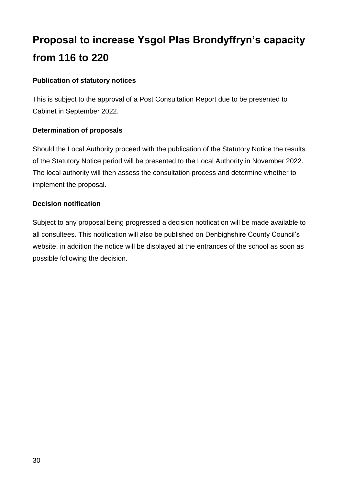#### **Publication of statutory notices**

This is subject to the approval of a Post Consultation Report due to be presented to Cabinet in September 2022.

#### **Determination of proposals**

Should the Local Authority proceed with the publication of the Statutory Notice the results of the Statutory Notice period will be presented to the Local Authority in November 2022. The local authority will then assess the consultation process and determine whether to implement the proposal.

#### **Decision notification**

Subject to any proposal being progressed a decision notification will be made available to all consultees. This notification will also be published on Denbighshire County Council's website, in addition the notice will be displayed at the entrances of the school as soon as possible following the decision.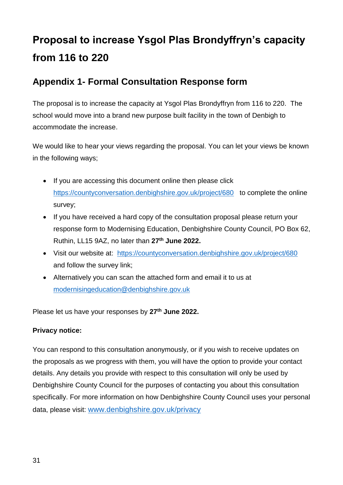### <span id="page-30-0"></span>**Appendix 1- Formal Consultation Response form**

The proposal is to increase the capacity at Ysgol Plas Brondyffryn from 116 to 220. The school would move into a brand new purpose built facility in the town of Denbigh to accommodate the increase.

We would like to hear your views regarding the proposal. You can let your views be known in the following ways;

- If you are accessing this document online then please click <https://countyconversation.denbighshire.gov.uk/project/680>to complete the online survey;
- If you have received a hard copy of the consultation proposal please return your response form to Modernising Education, Denbighshire County Council, PO Box 62, Ruthin, LL15 9AZ, no later than **27th June 2022.**
- Visit our website at: <https://countyconversation.denbighshire.gov.uk/project/680> and follow the survey link;
- Alternatively you can scan the attached form and email it to us at [modernisingeducation@denbighshire.gov.uk](mailto:modernisingeducation@denbighshire.gov.uk)

Please let us have your responses by **27th June 2022.**

#### **Privacy notice:**

You can respond to this consultation anonymously, or if you wish to receive updates on the proposals as we progress with them, you will have the option to provide your contact details. Any details you provide with respect to this consultation will only be used by Denbighshire County Council for the purposes of contacting you about this consultation specifically. For more information on how Denbighshire County Council uses your personal data, please visit: [www.denbighshire.gov.uk/privacy](http://www.denbighshire.gov.uk/privacy)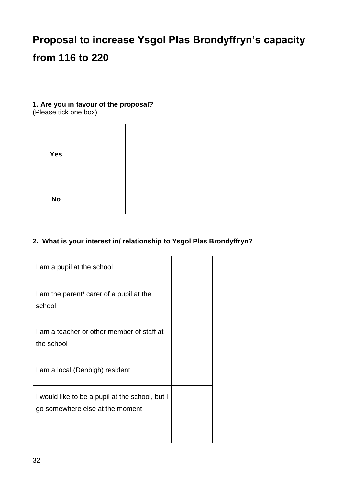#### **1. Are you in favour of the proposal?**

(Please tick one box)

| <b>Yes</b> |  |
|------------|--|
|            |  |
| <b>No</b>  |  |

#### **2. What is your interest in/ relationship to Ysgol Plas Brondyffryn?**

| I am a pupil at the school                                                         |  |
|------------------------------------------------------------------------------------|--|
| I am the parent/ carer of a pupil at the<br>school                                 |  |
| I am a teacher or other member of staff at<br>the school                           |  |
| I am a local (Denbigh) resident                                                    |  |
| I would like to be a pupil at the school, but I<br>go somewhere else at the moment |  |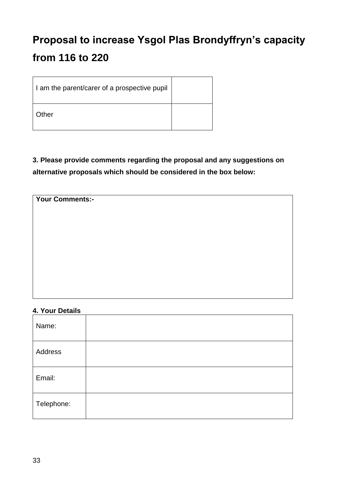| I am the parent/carer of a prospective pupil |  |
|----------------------------------------------|--|
| Other                                        |  |

### **3. Please provide comments regarding the proposal and any suggestions on alternative proposals which should be considered in the box below:**

| <b>Your Comments:-</b> |  |  |  |
|------------------------|--|--|--|
|                        |  |  |  |
|                        |  |  |  |
|                        |  |  |  |
|                        |  |  |  |
|                        |  |  |  |
|                        |  |  |  |
|                        |  |  |  |

#### **4. Your Details**

| Name:      |  |  |
|------------|--|--|
| Address    |  |  |
| Email:     |  |  |
| Telephone: |  |  |